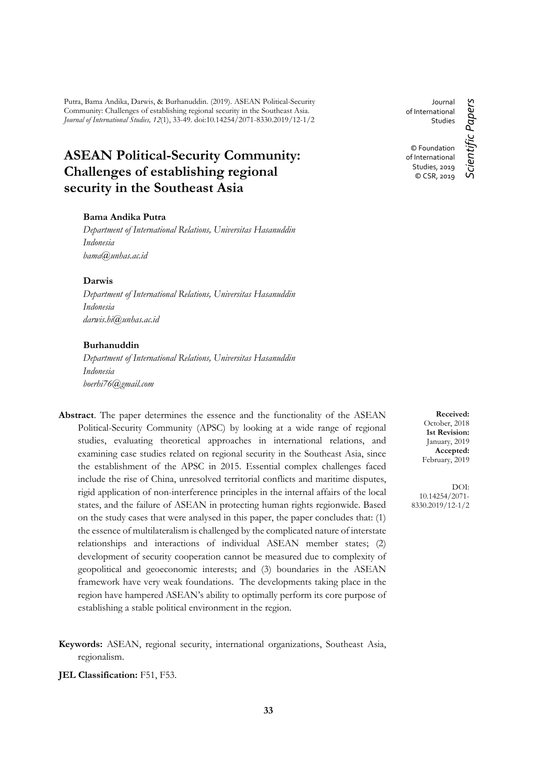Putra, Bama Andika, Darwis, & Burhanuddin. (2019). ASEAN Political-Security Community: Challenges of establishing regional security in the Southeast Asia. *Journal of International Studies, 12*(1), 33-49. doi:10.14254/2071-8330.2019/12-1/2

# **ASEAN Political-Security Community: Challenges of establishing regional security in the Southeast Asia**

#### **Bama Andika Putra**

*Department of International Relations, Universitas Hasanuddin Indonesia bama@unhas.ac.id*

## **Darwis**

*Department of International Relations, Universitas Hasanuddin Indonesia darwis.hi@unhas.ac.id*

#### **Burhanuddin**

*Department of International Relations, Universitas Hasanuddin Indonesia boerhi76@gmail.com*

- **Abstract**. The paper determines the essence and the functionality of the ASEAN Political-Security Community (APSC) by looking at a wide range of regional studies, evaluating theoretical approaches in international relations, and examining case studies related on regional security in the Southeast Asia, since the establishment of the APSC in 2015. Essential complex challenges faced include the rise of China, unresolved territorial conflicts and maritime disputes, rigid application of non-interference principles in the internal affairs of the local states, and the failure of ASEAN in protecting human rights regionwide. Based on the study cases that were analysed in this paper, the paper concludes that: (1) the essence of multilateralism is challenged by the complicated nature of interstate relationships and interactions of individual ASEAN member states; (2) development of security cooperation cannot be measured due to complexity of geopolitical and geoeconomic interests; and (3) boundaries in the ASEAN framework have very weak foundations. The developments taking place in the region have hampered ASEAN's ability to optimally perform its core purpose of establishing a stable political environment in the region.
- **Keywords:** ASEAN, regional security, international organizations, Southeast Asia, regionalism.

**JEL Classification:** F51, F53.

Journal of International Studies © Foundation

of International Studies, 2019 © CSR, 2019 Scientific Papers *Scientific Papers*

**Received:** October, 2018 **1st Revision:** January, 2019 **Accepted:** February, 2019

DOI: 10.14254/2071- 8330.2019/12-1/2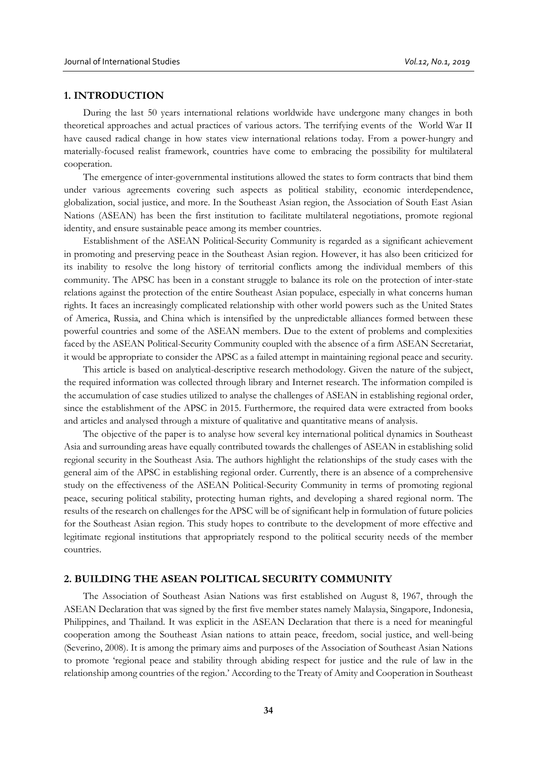## **1. INTRODUCTION**

During the last 50 years international relations worldwide have undergone many changes in both theoretical approaches and actual practices of various actors. The terrifying events of the World War II have caused radical change in how states view international relations today. From a power-hungry and materially-focused realist framework, countries have come to embracing the possibility for multilateral cooperation.

The emergence of inter-governmental institutions allowed the states to form contracts that bind them under various agreements covering such aspects as political stability, economic interdependence, globalization, social justice, and more. In the Southeast Asian region, the Association of South East Asian Nations (ASEAN) has been the first institution to facilitate multilateral negotiations, promote regional identity, and ensure sustainable peace among its member countries.

Establishment of the ASEAN Political-Security Community is regarded as a significant achievement in promoting and preserving peace in the Southeast Asian region. However, it has also been criticized for its inability to resolve the long history of territorial conflicts among the individual members of this community. The APSC has been in a constant struggle to balance its role on the protection of inter-state relations against the protection of the entire Southeast Asian populace, especially in what concerns human rights. It faces an increasingly complicated relationship with other world powers such as the United States of America, Russia, and China which is intensified by the unpredictable alliances formed between these powerful countries and some of the ASEAN members. Due to the extent of problems and complexities faced by the ASEAN Political-Security Community coupled with the absence of a firm ASEAN Secretariat, it would be appropriate to consider the APSC as a failed attempt in maintaining regional peace and security.

This article is based on analytical-descriptive research methodology. Given the nature of the subject, the required information was collected through library and Internet research. The information compiled is the accumulation of case studies utilized to analyse the challenges of ASEAN in establishing regional order, since the establishment of the APSC in 2015. Furthermore, the required data were extracted from books and articles and analysed through a mixture of qualitative and quantitative means of analysis.

The objective of the paper is to analyse how several key international political dynamics in Southeast Asia and surrounding areas have equally contributed towards the challenges of ASEAN in establishing solid regional security in the Southeast Asia. The authors highlight the relationships of the study cases with the general aim of the APSC in establishing regional order. Currently, there is an absence of a comprehensive study on the effectiveness of the ASEAN Political-Security Community in terms of promoting regional peace, securing political stability, protecting human rights, and developing a shared regional norm. The results of the research on challenges for the APSC will be of significant help in formulation of future policies for the Southeast Asian region. This study hopes to contribute to the development of more effective and legitimate regional institutions that appropriately respond to the political security needs of the member countries.

## **2. BUILDING THE ASEAN POLITICAL SECURITY COMMUNITY**

The Association of Southeast Asian Nations was first established on August 8, 1967, through the ASEAN Declaration that was signed by the first five member states namely Malaysia, Singapore, Indonesia, Philippines, and Thailand. It was explicit in the ASEAN Declaration that there is a need for meaningful cooperation among the Southeast Asian nations to attain peace, freedom, social justice, and well-being (Severino, 2008). It is among the primary aims and purposes of the Association of Southeast Asian Nations to promote 'regional peace and stability through abiding respect for justice and the rule of law in the relationship among countries of the region.' According to the Treaty of Amity and Cooperation in Southeast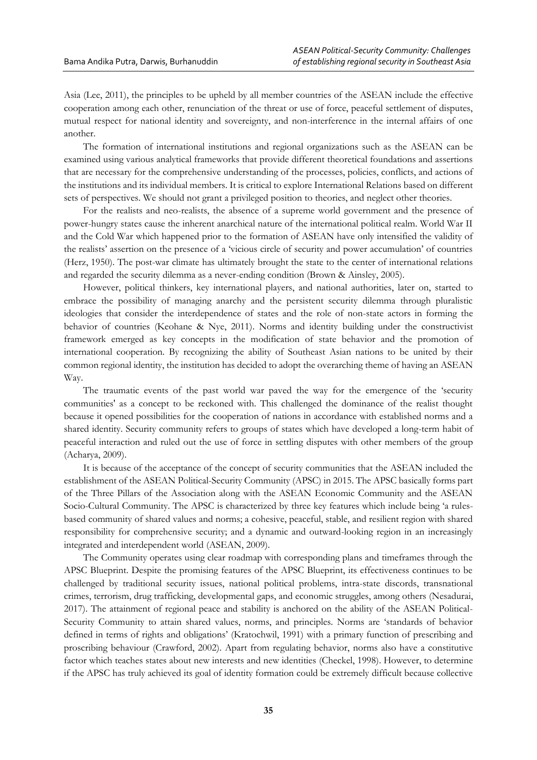Asia (Lee, 2011), the principles to be upheld by all member countries of the ASEAN include the effective cooperation among each other, renunciation of the threat or use of force, peaceful settlement of disputes, mutual respect for national identity and sovereignty, and non-interference in the internal affairs of one another.

The formation of international institutions and regional organizations such as the ASEAN can be examined using various analytical frameworks that provide different theoretical foundations and assertions that are necessary for the comprehensive understanding of the processes, policies, conflicts, and actions of the institutions and its individual members. It is critical to explore International Relations based on different sets of perspectives. We should not grant a privileged position to theories, and neglect other theories.

For the realists and neo-realists, the absence of a supreme world government and the presence of power-hungry states cause the inherent anarchical nature of the international political realm. World War II and the Cold War which happened prior to the formation of ASEAN have only intensified the validity of the realists' assertion on the presence of a 'vicious circle of security and power accumulation' of countries (Herz, 1950). The post-war climate has ultimately brought the state to the center of international relations and regarded the security dilemma as a never-ending condition (Brown & Ainsley, 2005).

However, political thinkers, key international players, and national authorities, later on, started to embrace the possibility of managing anarchy and the persistent security dilemma through pluralistic ideologies that consider the interdependence of states and the role of non-state actors in forming the behavior of countries (Keohane & Nye, 2011). Norms and identity building under the constructivist framework emerged as key concepts in the modification of state behavior and the promotion of international cooperation. By recognizing the ability of Southeast Asian nations to be united by their common regional identity, the institution has decided to adopt the overarching theme of having an ASEAN Way.

The traumatic events of the past world war paved the way for the emergence of the 'security communities' as a concept to be reckoned with. This challenged the dominance of the realist thought because it opened possibilities for the cooperation of nations in accordance with established norms and a shared identity. Security community refers to groups of states which have developed a long-term habit of peaceful interaction and ruled out the use of force in settling disputes with other members of the group (Acharya, 2009).

It is because of the acceptance of the concept of security communities that the ASEAN included the establishment of the ASEAN Political-Security Community (APSC) in 2015. The APSC basically forms part of the Three Pillars of the Association along with the ASEAN Economic Community and the ASEAN Socio-Cultural Community. The APSC is characterized by three key features which include being 'a rulesbased community of shared values and norms; a cohesive, peaceful, stable, and resilient region with shared responsibility for comprehensive security; and a dynamic and outward-looking region in an increasingly integrated and interdependent world (ASEAN, 2009).

The Community operates using clear roadmap with corresponding plans and timeframes through the APSC Blueprint. Despite the promising features of the APSC Blueprint, its effectiveness continues to be challenged by traditional security issues, national political problems, intra-state discords, transnational crimes, terrorism, drug trafficking, developmental gaps, and economic struggles, among others (Nesadurai, 2017). The attainment of regional peace and stability is anchored on the ability of the ASEAN Political-Security Community to attain shared values, norms, and principles. Norms are 'standards of behavior defined in terms of rights and obligations' (Kratochwil, 1991) with a primary function of prescribing and proscribing behaviour (Crawford, 2002). Apart from regulating behavior, norms also have a constitutive factor which teaches states about new interests and new identities (Checkel, 1998). However, to determine if the APSC has truly achieved its goal of identity formation could be extremely difficult because collective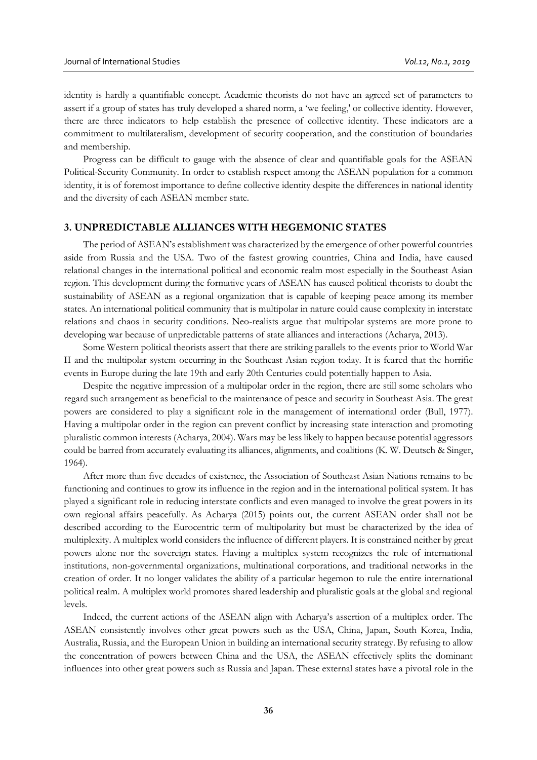identity is hardly a quantifiable concept. Academic theorists do not have an agreed set of parameters to assert if a group of states has truly developed a shared norm, a 'we feeling,' or collective identity. However, there are three indicators to help establish the presence of collective identity. These indicators are a commitment to multilateralism, development of security cooperation, and the constitution of boundaries and membership.

Progress can be difficult to gauge with the absence of clear and quantifiable goals for the ASEAN Political-Security Community. In order to establish respect among the ASEAN population for a common identity, it is of foremost importance to define collective identity despite the differences in national identity and the diversity of each ASEAN member state.

## **3. UNPREDICTABLE ALLIANCES WITH HEGEMONIC STATES**

The period of ASEAN's establishment was characterized by the emergence of other powerful countries aside from Russia and the USA. Two of the fastest growing countries, China and India, have caused relational changes in the international political and economic realm most especially in the Southeast Asian region. This development during the formative years of ASEAN has caused political theorists to doubt the sustainability of ASEAN as a regional organization that is capable of keeping peace among its member states. An international political community that is multipolar in nature could cause complexity in interstate relations and chaos in security conditions. Neo-realists argue that multipolar systems are more prone to developing war because of unpredictable patterns of state alliances and interactions (Acharya, 2013).

Some Western political theorists assert that there are striking parallels to the events prior to World War II and the multipolar system occurring in the Southeast Asian region today. It is feared that the horrific events in Europe during the late 19th and early 20th Centuries could potentially happen to Asia.

Despite the negative impression of a multipolar order in the region, there are still some scholars who regard such arrangement as beneficial to the maintenance of peace and security in Southeast Asia. The great powers are considered to play a significant role in the management of international order (Bull, 1977). Having a multipolar order in the region can prevent conflict by increasing state interaction and promoting pluralistic common interests (Acharya, 2004). Wars may be less likely to happen because potential aggressors could be barred from accurately evaluating its alliances, alignments, and coalitions (K. W. Deutsch & Singer, 1964).

After more than five decades of existence, the Association of Southeast Asian Nations remains to be functioning and continues to grow its influence in the region and in the international political system. It has played a significant role in reducing interstate conflicts and even managed to involve the great powers in its own regional affairs peacefully. As Acharya (2015) points out, the current ASEAN order shall not be described according to the Eurocentric term of multipolarity but must be characterized by the idea of multiplexity. A multiplex world considers the influence of different players. It is constrained neither by great powers alone nor the sovereign states. Having a multiplex system recognizes the role of international institutions, non-governmental organizations, multinational corporations, and traditional networks in the creation of order. It no longer validates the ability of a particular hegemon to rule the entire international political realm. A multiplex world promotes shared leadership and pluralistic goals at the global and regional levels.

Indeed, the current actions of the ASEAN align with Acharya's assertion of a multiplex order. The ASEAN consistently involves other great powers such as the USA, China, Japan, South Korea, India, Australia, Russia, and the European Union in building an international security strategy. By refusing to allow the concentration of powers between China and the USA, the ASEAN effectively splits the dominant influences into other great powers such as Russia and Japan. These external states have a pivotal role in the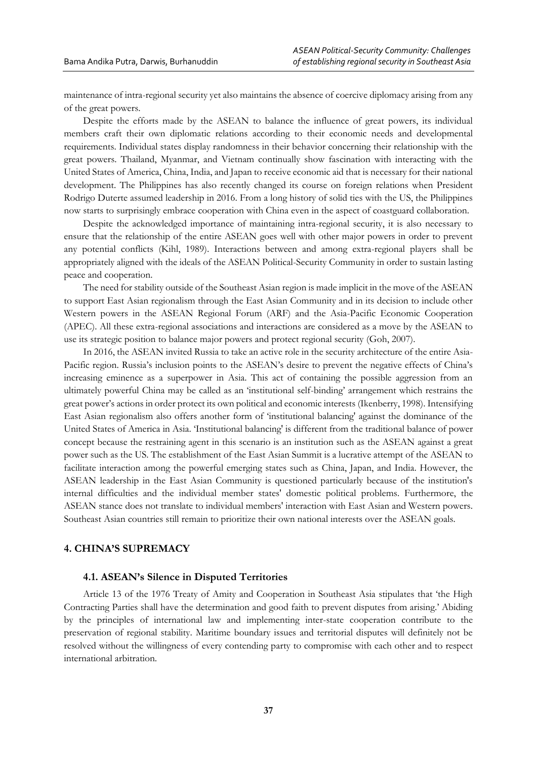maintenance of intra-regional security yet also maintains the absence of coercive diplomacy arising from any of the great powers.

Despite the efforts made by the ASEAN to balance the influence of great powers, its individual members craft their own diplomatic relations according to their economic needs and developmental requirements. Individual states display randomness in their behavior concerning their relationship with the great powers. Thailand, Myanmar, and Vietnam continually show fascination with interacting with the United States of America, China, India, and Japan to receive economic aid that is necessary for their national development. The Philippines has also recently changed its course on foreign relations when President Rodrigo Duterte assumed leadership in 2016. From a long history of solid ties with the US, the Philippines now starts to surprisingly embrace cooperation with China even in the aspect of coastguard collaboration.

Despite the acknowledged importance of maintaining intra-regional security, it is also necessary to ensure that the relationship of the entire ASEAN goes well with other major powers in order to prevent any potential conflicts (Kihl, 1989). Interactions between and among extra-regional players shall be appropriately aligned with the ideals of the ASEAN Political-Security Community in order to sustain lasting peace and cooperation.

The need for stability outside of the Southeast Asian region is made implicit in the move of the ASEAN to support East Asian regionalism through the East Asian Community and in its decision to include other Western powers in the ASEAN Regional Forum (ARF) and the Asia-Pacific Economic Cooperation (APEC). All these extra-regional associations and interactions are considered as a move by the ASEAN to use its strategic position to balance major powers and protect regional security (Goh, 2007).

In 2016, the ASEAN invited Russia to take an active role in the security architecture of the entire Asia-Pacific region. Russia's inclusion points to the ASEAN's desire to prevent the negative effects of China's increasing eminence as a superpower in Asia. This act of containing the possible aggression from an ultimately powerful China may be called as an 'institutional self-binding' arrangement which restrains the great power's actions in order protect its own political and economic interests (Ikenberry, 1998). Intensifying East Asian regionalism also offers another form of 'institutional balancing' against the dominance of the United States of America in Asia. 'Institutional balancing' is different from the traditional balance of power concept because the restraining agent in this scenario is an institution such as the ASEAN against a great power such as the US. The establishment of the East Asian Summit is a lucrative attempt of the ASEAN to facilitate interaction among the powerful emerging states such as China, Japan, and India. However, the ASEAN leadership in the East Asian Community is questioned particularly because of the institution's internal difficulties and the individual member states' domestic political problems. Furthermore, the ASEAN stance does not translate to individual members' interaction with East Asian and Western powers. Southeast Asian countries still remain to prioritize their own national interests over the ASEAN goals.

## **4. CHINA'S SUPREMACY**

## **4.1. ASEAN's Silence in Disputed Territories**

Article 13 of the 1976 Treaty of Amity and Cooperation in Southeast Asia stipulates that 'the High Contracting Parties shall have the determination and good faith to prevent disputes from arising.' Abiding by the principles of international law and implementing inter-state cooperation contribute to the preservation of regional stability. Maritime boundary issues and territorial disputes will definitely not be resolved without the willingness of every contending party to compromise with each other and to respect international arbitration.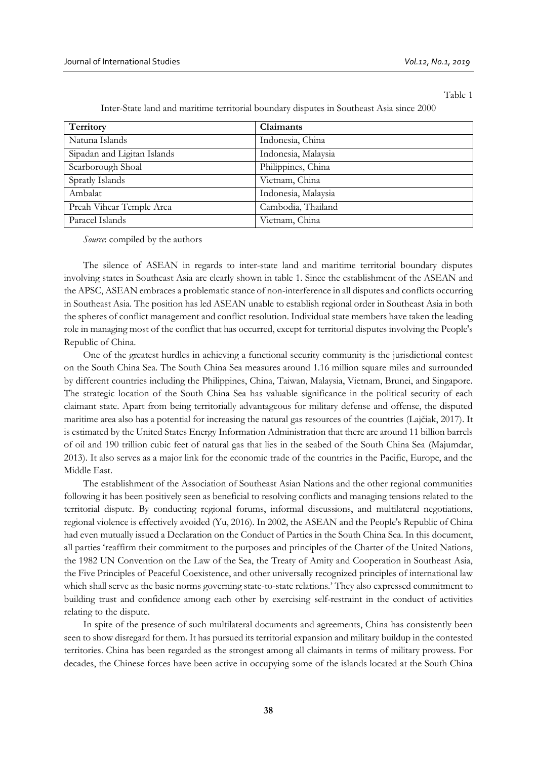Table 1

| Territory                   | Claimants           |
|-----------------------------|---------------------|
| Natuna Islands              | Indonesia, China    |
| Sipadan and Ligitan Islands | Indonesia, Malaysia |
| Scarborough Shoal           | Philippines, China  |
| Spratly Islands             | Vietnam, China      |
| Ambalat                     | Indonesia, Malaysia |
| Preah Vihear Temple Area    | Cambodia, Thailand  |
| Paracel Islands             | Vietnam, China      |

Inter-State land and maritime territorial boundary disputes in Southeast Asia since 2000

*Source*: compiled by the authors

The silence of ASEAN in regards to inter-state land and maritime territorial boundary disputes involving states in Southeast Asia are clearly shown in table 1. Since the establishment of the ASEAN and the APSC, ASEAN embraces a problematic stance of non-interference in all disputes and conflicts occurring in Southeast Asia. The position has led ASEAN unable to establish regional order in Southeast Asia in both the spheres of conflict management and conflict resolution. Individual state members have taken the leading role in managing most of the conflict that has occurred, except for territorial disputes involving the People's Republic of China.

One of the greatest hurdles in achieving a functional security community is the jurisdictional contest on the South China Sea. The South China Sea measures around 1.16 million square miles and surrounded by different countries including the Philippines, China, Taiwan, Malaysia, Vietnam, Brunei, and Singapore. The strategic location of the South China Sea has valuable significance in the political security of each claimant state. Apart from being territorially advantageous for military defense and offense, the disputed maritime area also has a potential for increasing the natural gas resources of the countries (Lajčiak, 2017). It is estimated by the United States Energy Information Administration that there are around 11 billion barrels of oil and 190 trillion cubic feet of natural gas that lies in the seabed of the South China Sea (Majumdar, 2013). It also serves as a major link for the economic trade of the countries in the Pacific, Europe, and the Middle East.

The establishment of the Association of Southeast Asian Nations and the other regional communities following it has been positively seen as beneficial to resolving conflicts and managing tensions related to the territorial dispute. By conducting regional forums, informal discussions, and multilateral negotiations, regional violence is effectively avoided (Yu, 2016). In 2002, the ASEAN and the People's Republic of China had even mutually issued a Declaration on the Conduct of Parties in the South China Sea. In this document, all parties 'reaffirm their commitment to the purposes and principles of the Charter of the United Nations, the 1982 UN Convention on the Law of the Sea, the Treaty of Amity and Cooperation in Southeast Asia, the Five Principles of Peaceful Coexistence, and other universally recognized principles of international law which shall serve as the basic norms governing state-to-state relations.' They also expressed commitment to building trust and confidence among each other by exercising self-restraint in the conduct of activities relating to the dispute.

In spite of the presence of such multilateral documents and agreements, China has consistently been seen to show disregard for them. It has pursued its territorial expansion and military buildup in the contested territories. China has been regarded as the strongest among all claimants in terms of military prowess. For decades, the Chinese forces have been active in occupying some of the islands located at the South China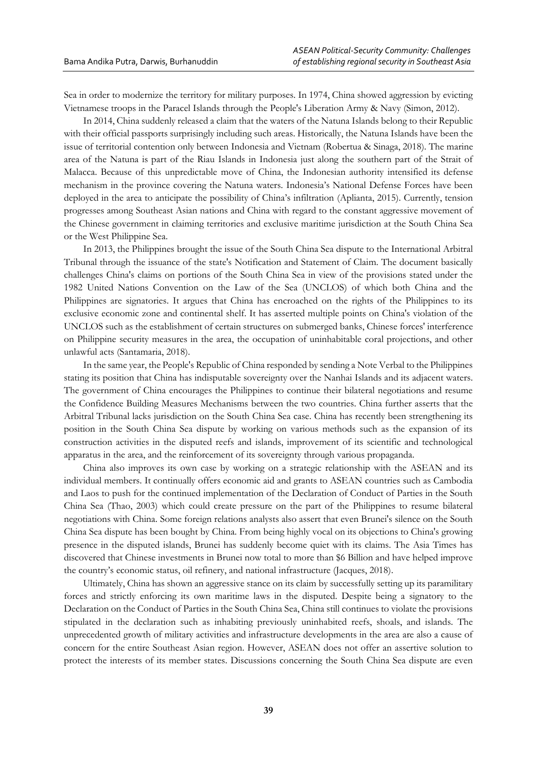Sea in order to modernize the territory for military purposes. In 1974, China showed aggression by evicting Vietnamese troops in the Paracel Islands through the People's Liberation Army & Navy (Simon, 2012).

In 2014, China suddenly released a claim that the waters of the Natuna Islands belong to their Republic with their official passports surprisingly including such areas. Historically, the Natuna Islands have been the issue of territorial contention only between Indonesia and Vietnam (Robertua & Sinaga, 2018). The marine area of the Natuna is part of the Riau Islands in Indonesia just along the southern part of the Strait of Malacca. Because of this unpredictable move of China, the Indonesian authority intensified its defense mechanism in the province covering the Natuna waters. Indonesia's National Defense Forces have been deployed in the area to anticipate the possibility of China's infiltration (Aplianta, 2015). Currently, tension progresses among Southeast Asian nations and China with regard to the constant aggressive movement of the Chinese government in claiming territories and exclusive maritime jurisdiction at the South China Sea or the West Philippine Sea.

In 2013, the Philippines brought the issue of the South China Sea dispute to the International Arbitral Tribunal through the issuance of the state's Notification and Statement of Claim. The document basically challenges China's claims on portions of the South China Sea in view of the provisions stated under the 1982 United Nations Convention on the Law of the Sea (UNCLOS) of which both China and the Philippines are signatories. It argues that China has encroached on the rights of the Philippines to its exclusive economic zone and continental shelf. It has asserted multiple points on China's violation of the UNCLOS such as the establishment of certain structures on submerged banks, Chinese forces' interference on Philippine security measures in the area, the occupation of uninhabitable coral projections, and other unlawful acts (Santamaria, 2018).

In the same year, the People's Republic of China responded by sending a Note Verbal to the Philippines stating its position that China has indisputable sovereignty over the Nanhai Islands and its adjacent waters. The government of China encourages the Philippines to continue their bilateral negotiations and resume the Confidence Building Measures Mechanisms between the two countries. China further asserts that the Arbitral Tribunal lacks jurisdiction on the South China Sea case. China has recently been strengthening its position in the South China Sea dispute by working on various methods such as the expansion of its construction activities in the disputed reefs and islands, improvement of its scientific and technological apparatus in the area, and the reinforcement of its sovereignty through various propaganda.

China also improves its own case by working on a strategic relationship with the ASEAN and its individual members. It continually offers economic aid and grants to ASEAN countries such as Cambodia and Laos to push for the continued implementation of the Declaration of Conduct of Parties in the South China Sea (Thao, 2003) which could create pressure on the part of the Philippines to resume bilateral negotiations with China. Some foreign relations analysts also assert that even Brunei's silence on the South China Sea dispute has been bought by China. From being highly vocal on its objections to China's growing presence in the disputed islands, Brunei has suddenly become quiet with its claims. The Asia Times has discovered that Chinese investments in Brunei now total to more than \$6 Billion and have helped improve the country's economic status, oil refinery, and national infrastructure (Jacques, 2018).

Ultimately, China has shown an aggressive stance on its claim by successfully setting up its paramilitary forces and strictly enforcing its own maritime laws in the disputed. Despite being a signatory to the Declaration on the Conduct of Parties in the South China Sea, China still continues to violate the provisions stipulated in the declaration such as inhabiting previously uninhabited reefs, shoals, and islands. The unprecedented growth of military activities and infrastructure developments in the area are also a cause of concern for the entire Southeast Asian region. However, ASEAN does not offer an assertive solution to protect the interests of its member states. Discussions concerning the South China Sea dispute are even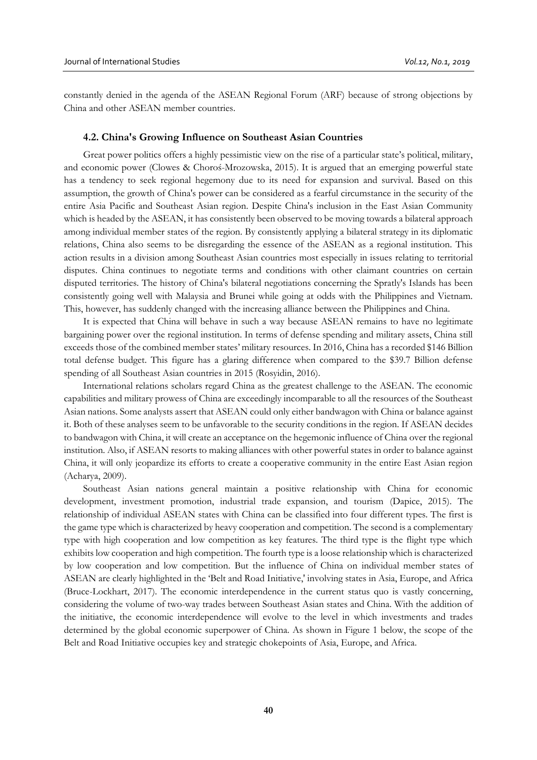constantly denied in the agenda of the ASEAN Regional Forum (ARF) because of strong objections by China and other ASEAN member countries.

#### **4.2. China's Growing Influence on Southeast Asian Countries**

Great power politics offers a highly pessimistic view on the rise of a particular state's political, military, and economic power (Clowes & Choroś-Mrozowska, 2015). It is argued that an emerging powerful state has a tendency to seek regional hegemony due to its need for expansion and survival. Based on this assumption, the growth of China's power can be considered as a fearful circumstance in the security of the entire Asia Pacific and Southeast Asian region. Despite China's inclusion in the East Asian Community which is headed by the ASEAN, it has consistently been observed to be moving towards a bilateral approach among individual member states of the region. By consistently applying a bilateral strategy in its diplomatic relations, China also seems to be disregarding the essence of the ASEAN as a regional institution. This action results in a division among Southeast Asian countries most especially in issues relating to territorial disputes. China continues to negotiate terms and conditions with other claimant countries on certain disputed territories. The history of China's bilateral negotiations concerning the Spratly's Islands has been consistently going well with Malaysia and Brunei while going at odds with the Philippines and Vietnam. This, however, has suddenly changed with the increasing alliance between the Philippines and China.

It is expected that China will behave in such a way because ASEAN remains to have no legitimate bargaining power over the regional institution. In terms of defense spending and military assets, China still exceeds those of the combined member states' military resources. In 2016, China has a recorded \$146 Billion total defense budget. This figure has a glaring difference when compared to the \$39.7 Billion defense spending of all Southeast Asian countries in 2015 (Rosyidin, 2016).

International relations scholars regard China as the greatest challenge to the ASEAN. The economic capabilities and military prowess of China are exceedingly incomparable to all the resources of the Southeast Asian nations. Some analysts assert that ASEAN could only either bandwagon with China or balance against it. Both of these analyses seem to be unfavorable to the security conditions in the region. If ASEAN decides to bandwagon with China, it will create an acceptance on the hegemonic influence of China over the regional institution. Also, if ASEAN resorts to making alliances with other powerful states in order to balance against China, it will only jeopardize its efforts to create a cooperative community in the entire East Asian region (Acharya, 2009).

Southeast Asian nations general maintain a positive relationship with China for economic development, investment promotion, industrial trade expansion, and tourism (Dapice, 2015). The relationship of individual ASEAN states with China can be classified into four different types. The first is the game type which is characterized by heavy cooperation and competition. The second is a complementary type with high cooperation and low competition as key features. The third type is the flight type which exhibits low cooperation and high competition. The fourth type is a loose relationship which is characterized by low cooperation and low competition. But the influence of China on individual member states of ASEAN are clearly highlighted in the 'Belt and Road Initiative,' involving states in Asia, Europe, and Africa (Bruce-Lockhart, 2017). The economic interdependence in the current status quo is vastly concerning, considering the volume of two-way trades between Southeast Asian states and China. With the addition of the initiative, the economic interdependence will evolve to the level in which investments and trades determined by the global economic superpower of China. As shown in Figure 1 below, the scope of the Belt and Road Initiative occupies key and strategic chokepoints of Asia, Europe, and Africa.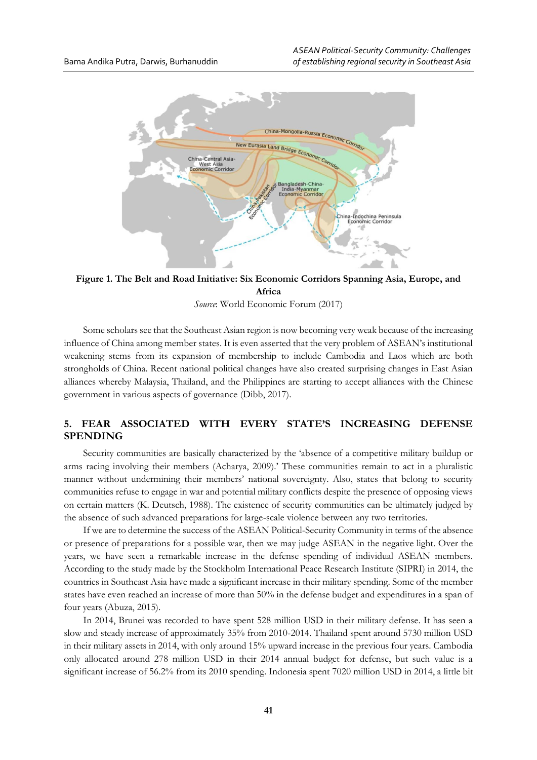

**Figure 1. The Belt and Road Initiative: Six Economic Corridors Spanning Asia, Europe, and Africa**

*Source*: World Economic Forum (2017)

Some scholars see that the Southeast Asian region is now becoming very weak because of the increasing influence of China among member states. It is even asserted that the very problem of ASEAN's institutional weakening stems from its expansion of membership to include Cambodia and Laos which are both strongholds of China. Recent national political changes have also created surprising changes in East Asian alliances whereby Malaysia, Thailand, and the Philippines are starting to accept alliances with the Chinese government in various aspects of governance (Dibb, 2017).

## **5. FEAR ASSOCIATED WITH EVERY STATE'S INCREASING DEFENSE SPENDING**

Security communities are basically characterized by the 'absence of a competitive military buildup or arms racing involving their members (Acharya, 2009).' These communities remain to act in a pluralistic manner without undermining their members' national sovereignty. Also, states that belong to security communities refuse to engage in war and potential military conflicts despite the presence of opposing views on certain matters (K. Deutsch, 1988). The existence of security communities can be ultimately judged by the absence of such advanced preparations for large-scale violence between any two territories.

If we are to determine the success of the ASEAN Political-Security Community in terms of the absence or presence of preparations for a possible war, then we may judge ASEAN in the negative light. Over the years, we have seen a remarkable increase in the defense spending of individual ASEAN members. According to the study made by the Stockholm International Peace Research Institute (SIPRI) in 2014, the countries in Southeast Asia have made a significant increase in their military spending. Some of the member states have even reached an increase of more than 50% in the defense budget and expenditures in a span of four years (Abuza, 2015).

In 2014, Brunei was recorded to have spent 528 million USD in their military defense. It has seen a slow and steady increase of approximately 35% from 2010-2014. Thailand spent around 5730 million USD in their military assets in 2014, with only around 15% upward increase in the previous four years. Cambodia only allocated around 278 million USD in their 2014 annual budget for defense, but such value is a significant increase of 56.2% from its 2010 spending. Indonesia spent 7020 million USD in 2014, a little bit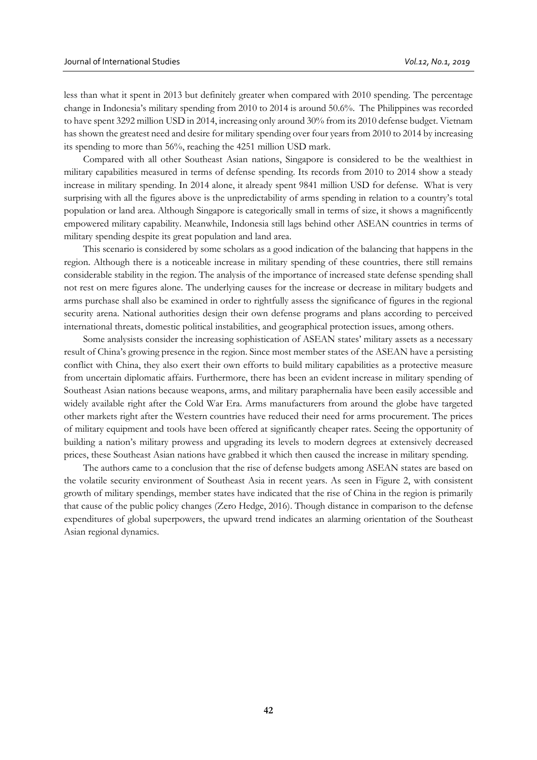less than what it spent in 2013 but definitely greater when compared with 2010 spending. The percentage change in Indonesia's military spending from 2010 to 2014 is around 50.6%. The Philippines was recorded to have spent 3292 million USD in 2014, increasing only around 30% from its 2010 defense budget. Vietnam has shown the greatest need and desire for military spending over four years from 2010 to 2014 by increasing its spending to more than 56%, reaching the 4251 million USD mark.

Compared with all other Southeast Asian nations, Singapore is considered to be the wealthiest in military capabilities measured in terms of defense spending. Its records from 2010 to 2014 show a steady increase in military spending. In 2014 alone, it already spent 9841 million USD for defense. What is very surprising with all the figures above is the unpredictability of arms spending in relation to a country's total population or land area. Although Singapore is categorically small in terms of size, it shows a magnificently empowered military capability. Meanwhile, Indonesia still lags behind other ASEAN countries in terms of military spending despite its great population and land area.

This scenario is considered by some scholars as a good indication of the balancing that happens in the region. Although there is a noticeable increase in military spending of these countries, there still remains considerable stability in the region. The analysis of the importance of increased state defense spending shall not rest on mere figures alone. The underlying causes for the increase or decrease in military budgets and arms purchase shall also be examined in order to rightfully assess the significance of figures in the regional security arena. National authorities design their own defense programs and plans according to perceived international threats, domestic political instabilities, and geographical protection issues, among others.

Some analysists consider the increasing sophistication of ASEAN states' military assets as a necessary result of China's growing presence in the region. Since most member states of the ASEAN have a persisting conflict with China, they also exert their own efforts to build military capabilities as a protective measure from uncertain diplomatic affairs. Furthermore, there has been an evident increase in military spending of Southeast Asian nations because weapons, arms, and military paraphernalia have been easily accessible and widely available right after the Cold War Era. Arms manufacturers from around the globe have targeted other markets right after the Western countries have reduced their need for arms procurement. The prices of military equipment and tools have been offered at significantly cheaper rates. Seeing the opportunity of building a nation's military prowess and upgrading its levels to modern degrees at extensively decreased prices, these Southeast Asian nations have grabbed it which then caused the increase in military spending.

The authors came to a conclusion that the rise of defense budgets among ASEAN states are based on the volatile security environment of Southeast Asia in recent years. As seen in Figure 2, with consistent growth of military spendings, member states have indicated that the rise of China in the region is primarily that cause of the public policy changes (Zero Hedge, 2016). Though distance in comparison to the defense expenditures of global superpowers, the upward trend indicates an alarming orientation of the Southeast Asian regional dynamics.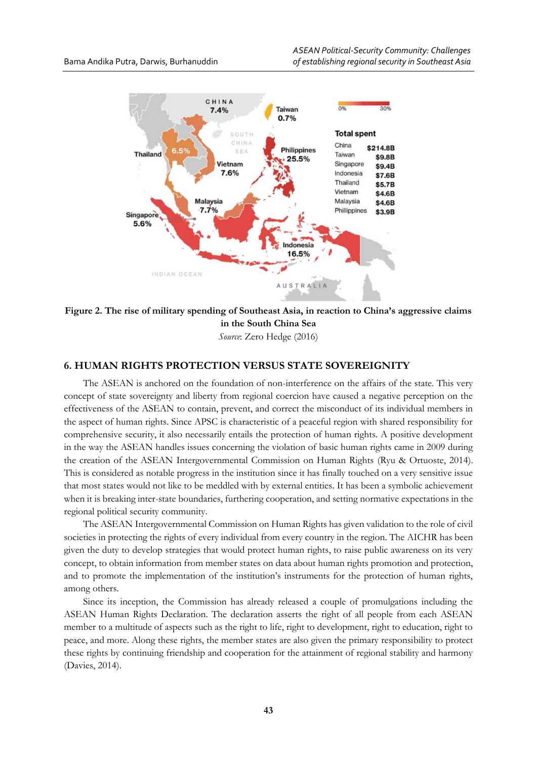

**Figure 2. The rise of military spending of Southeast Asia, in reaction to China's aggressive claims in the South China Sea**

*Source*: Zero Hedge (2016)

## **6. HUMAN RIGHTS PROTECTION VERSUS STATE SOVEREIGNITY**

The ASEAN is anchored on the foundation of non-interference on the affairs of the state. This very concept of state sovereignty and liberty from regional coercion have caused a negative perception on the effectiveness of the ASEAN to contain, prevent, and correct the misconduct of its individual members in the aspect of human rights. Since APSC is characteristic of a peaceful region with shared responsibility for comprehensive security, it also necessarily entails the protection of human rights. A positive development in the way the ASEAN handles issues concerning the violation of basic human rights came in 2009 during the creation of the ASEAN Intergovernmental Commission on Human Rights (Ryu & Ortuoste, 2014). This is considered as notable progress in the institution since it has finally touched on a very sensitive issue that most states would not like to be meddled with by external entities. It has been a symbolic achievement when it is breaking inter-state boundaries, furthering cooperation, and setting normative expectations in the regional political security community.

The ASEAN Intergovernmental Commission on Human Rights has given validation to the role of civil societies in protecting the rights of every individual from every country in the region. The AICHR has been given the duty to develop strategies that would protect human rights, to raise public awareness on its very concept, to obtain information from member states on data about human rights promotion and protection, and to promote the implementation of the institution's instruments for the protection of human rights, among others.

Since its inception, the Commission has already released a couple of promulgations including the ASEAN Human Rights Declaration. The declaration asserts the right of all people from each ASEAN member to a multitude of aspects such as the right to life, right to development, right to education, right to peace, and more. Along these rights, the member states are also given the primary responsibility to protect these rights by continuing friendship and cooperation for the attainment of regional stability and harmony (Davies, 2014).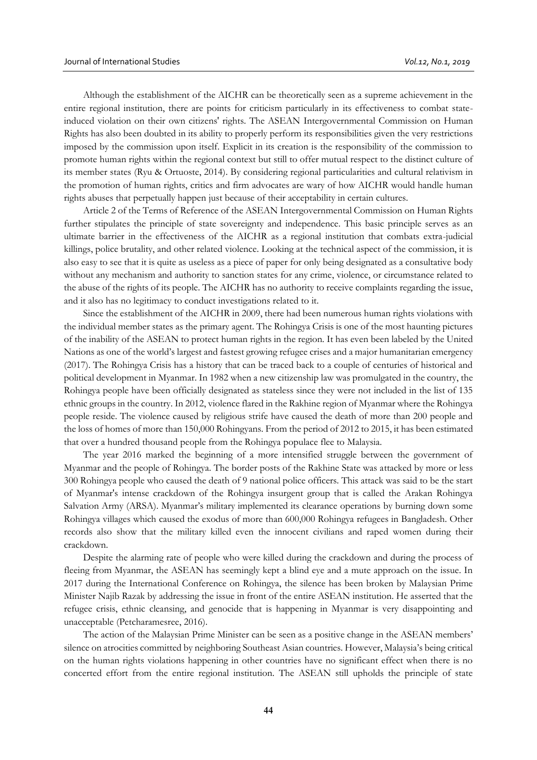Although the establishment of the AICHR can be theoretically seen as a supreme achievement in the entire regional institution, there are points for criticism particularly in its effectiveness to combat stateinduced violation on their own citizens' rights. The ASEAN Intergovernmental Commission on Human Rights has also been doubted in its ability to properly perform its responsibilities given the very restrictions imposed by the commission upon itself. Explicit in its creation is the responsibility of the commission to promote human rights within the regional context but still to offer mutual respect to the distinct culture of its member states (Ryu & Ortuoste, 2014). By considering regional particularities and cultural relativism in the promotion of human rights, critics and firm advocates are wary of how AICHR would handle human rights abuses that perpetually happen just because of their acceptability in certain cultures.

Article 2 of the Terms of Reference of the ASEAN Intergovernmental Commission on Human Rights further stipulates the principle of state sovereignty and independence. This basic principle serves as an ultimate barrier in the effectiveness of the AICHR as a regional institution that combats extra-judicial killings, police brutality, and other related violence. Looking at the technical aspect of the commission, it is also easy to see that it is quite as useless as a piece of paper for only being designated as a consultative body without any mechanism and authority to sanction states for any crime, violence, or circumstance related to the abuse of the rights of its people. The AICHR has no authority to receive complaints regarding the issue, and it also has no legitimacy to conduct investigations related to it.

Since the establishment of the AICHR in 2009, there had been numerous human rights violations with the individual member states as the primary agent. The Rohingya Crisis is one of the most haunting pictures of the inability of the ASEAN to protect human rights in the region. It has even been labeled by the United Nations as one of the world's largest and fastest growing refugee crises and a major humanitarian emergency (2017). The Rohingya Crisis has a history that can be traced back to a couple of centuries of historical and political development in Myanmar. In 1982 when a new citizenship law was promulgated in the country, the Rohingya people have been officially designated as stateless since they were not included in the list of 135 ethnic groups in the country. In 2012, violence flared in the Rakhine region of Myanmar where the Rohingya people reside. The violence caused by religious strife have caused the death of more than 200 people and the loss of homes of more than 150,000 Rohingyans. From the period of 2012 to 2015, it has been estimated that over a hundred thousand people from the Rohingya populace flee to Malaysia.

The year 2016 marked the beginning of a more intensified struggle between the government of Myanmar and the people of Rohingya. The border posts of the Rakhine State was attacked by more or less 300 Rohingya people who caused the death of 9 national police officers. This attack was said to be the start of Myanmar's intense crackdown of the Rohingya insurgent group that is called the Arakan Rohingya Salvation Army (ARSA). Myanmar's military implemented its clearance operations by burning down some Rohingya villages which caused the exodus of more than 600,000 Rohingya refugees in Bangladesh. Other records also show that the military killed even the innocent civilians and raped women during their crackdown.

Despite the alarming rate of people who were killed during the crackdown and during the process of fleeing from Myanmar, the ASEAN has seemingly kept a blind eye and a mute approach on the issue. In 2017 during the International Conference on Rohingya, the silence has been broken by Malaysian Prime Minister Najib Razak by addressing the issue in front of the entire ASEAN institution. He asserted that the refugee crisis, ethnic cleansing, and genocide that is happening in Myanmar is very disappointing and unacceptable (Petcharamesree, 2016).

The action of the Malaysian Prime Minister can be seen as a positive change in the ASEAN members' silence on atrocities committed by neighboring Southeast Asian countries. However, Malaysia's being critical on the human rights violations happening in other countries have no significant effect when there is no concerted effort from the entire regional institution. The ASEAN still upholds the principle of state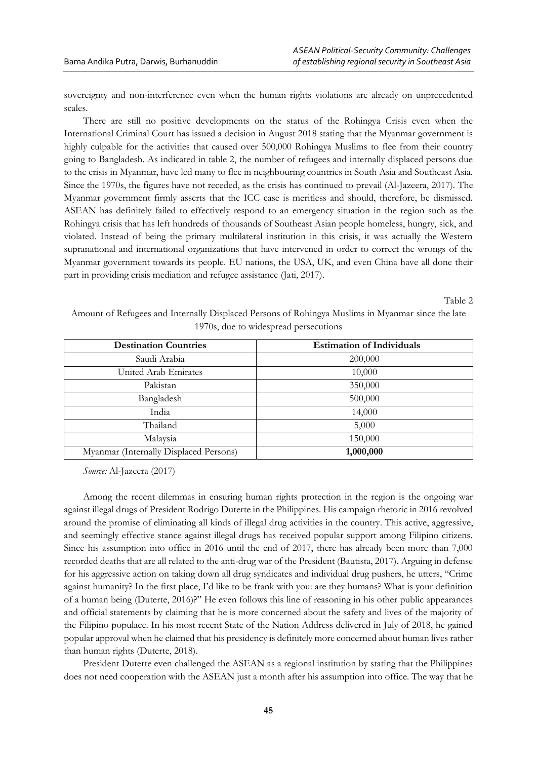sovereignty and non-interference even when the human rights violations are already on unprecedented scales.

There are still no positive developments on the status of the Rohingya Crisis even when the International Criminal Court has issued a decision in August 2018 stating that the Myanmar government is highly culpable for the activities that caused over 500,000 Rohingya Muslims to flee from their country going to Bangladesh. As indicated in table 2, the number of refugees and internally displaced persons due to the crisis in Myanmar, have led many to flee in neighbouring countries in South Asia and Southeast Asia. Since the 1970s, the figures have not receded, as the crisis has continued to prevail (Al-Jazeera, 2017). The Myanmar government firmly asserts that the ICC case is meritless and should, therefore, be dismissed. ASEAN has definitely failed to effectively respond to an emergency situation in the region such as the Rohingya crisis that has left hundreds of thousands of Southeast Asian people homeless, hungry, sick, and violated. Instead of being the primary multilateral institution in this crisis, it was actually the Western supranational and international organizations that have intervened in order to correct the wrongs of the Myanmar government towards its people. EU nations, the USA, UK, and even China have all done their part in providing crisis mediation and refugee assistance (Jati, 2017).

Table 2

| Amount of Refugees and Internally Displaced Persons of Rohingya Muslims in Myanmar since the late |  |
|---------------------------------------------------------------------------------------------------|--|
| 1970s, due to widespread persecutions                                                             |  |

| <b>Destination Countries</b>           | <b>Estimation of Individuals</b> |
|----------------------------------------|----------------------------------|
| Saudi Arabia                           | 200,000                          |
| United Arab Emirates                   | 10,000                           |
| Pakistan                               | 350,000                          |
| Bangladesh                             | 500,000                          |
| India                                  | 14,000                           |
| Thailand                               | 5,000                            |
| Malaysia                               | 150,000                          |
| Myanmar (Internally Displaced Persons) | 1,000,000                        |

*Source:* Al-Jazeera (2017)

Among the recent dilemmas in ensuring human rights protection in the region is the ongoing war against illegal drugs of President Rodrigo Duterte in the Philippines. His campaign rhetoric in 2016 revolved around the promise of eliminating all kinds of illegal drug activities in the country. This active, aggressive, and seemingly effective stance against illegal drugs has received popular support among Filipino citizens. Since his assumption into office in 2016 until the end of 2017, there has already been more than 7,000 recorded deaths that are all related to the anti-drug war of the President (Bautista, 2017). Arguing in defense for his aggressive action on taking down all drug syndicates and individual drug pushers, he utters, "Crime against humanity? In the first place, I'd like to be frank with you: are they humans? What is your definition of a human being (Duterte, 2016)?" He even follows this line of reasoning in his other public appearances and official statements by claiming that he is more concerned about the safety and lives of the majority of the Filipino populace. In his most recent State of the Nation Address delivered in July of 2018, he gained popular approval when he claimed that his presidency is definitely more concerned about human lives rather than human rights (Duterte, 2018).

President Duterte even challenged the ASEAN as a regional institution by stating that the Philippines does not need cooperation with the ASEAN just a month after his assumption into office. The way that he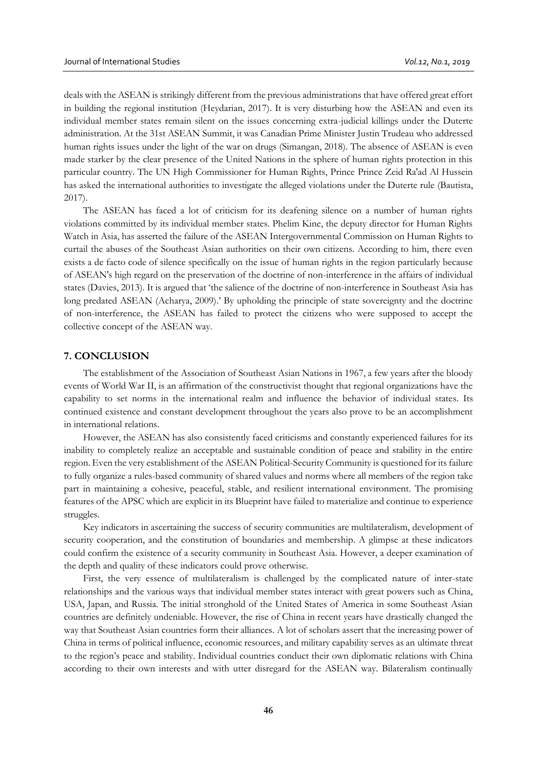deals with the ASEAN is strikingly different from the previous administrations that have offered great effort in building the regional institution (Heydarian, 2017). It is very disturbing how the ASEAN and even its individual member states remain silent on the issues concerning extra-judicial killings under the Duterte administration. At the 31st ASEAN Summit, it was Canadian Prime Minister Justin Trudeau who addressed human rights issues under the light of the war on drugs (Simangan, 2018). The absence of ASEAN is even made starker by the clear presence of the United Nations in the sphere of human rights protection in this particular country. The UN High Commissioner for Human Rights, Prince Prince Zeid Ra'ad Al Hussein has asked the international authorities to investigate the alleged violations under the Duterte rule (Bautista, 2017).

The ASEAN has faced a lot of criticism for its deafening silence on a number of human rights violations committed by its individual member states. Phelim Kine, the deputy director for Human Rights Watch in Asia, has asserted the failure of the ASEAN Intergovernmental Commission on Human Rights to curtail the abuses of the Southeast Asian authorities on their own citizens. According to him, there even exists a de facto code of silence specifically on the issue of human rights in the region particularly because of ASEAN's high regard on the preservation of the doctrine of non-interference in the affairs of individual states (Davies, 2013). It is argued that 'the salience of the doctrine of non-interference in Southeast Asia has long predated ASEAN (Acharya, 2009).' By upholding the principle of state sovereignty and the doctrine of non-interference, the ASEAN has failed to protect the citizens who were supposed to accept the collective concept of the ASEAN way.

#### **7. CONCLUSION**

The establishment of the Association of Southeast Asian Nations in 1967, a few years after the bloody events of World War II, is an affirmation of the constructivist thought that regional organizations have the capability to set norms in the international realm and influence the behavior of individual states. Its continued existence and constant development throughout the years also prove to be an accomplishment in international relations.

However, the ASEAN has also consistently faced criticisms and constantly experienced failures for its inability to completely realize an acceptable and sustainable condition of peace and stability in the entire region. Even the very establishment of the ASEAN Political-Security Community is questioned for its failure to fully organize a rules-based community of shared values and norms where all members of the region take part in maintaining a cohesive, peaceful, stable, and resilient international environment. The promising features of the APSC which are explicit in its Blueprint have failed to materialize and continue to experience struggles.

Key indicators in ascertaining the success of security communities are multilateralism, development of security cooperation, and the constitution of boundaries and membership. A glimpse at these indicators could confirm the existence of a security community in Southeast Asia. However, a deeper examination of the depth and quality of these indicators could prove otherwise.

First, the very essence of multilateralism is challenged by the complicated nature of inter-state relationships and the various ways that individual member states interact with great powers such as China, USA, Japan, and Russia. The initial stronghold of the United States of America in some Southeast Asian countries are definitely undeniable. However, the rise of China in recent years have drastically changed the way that Southeast Asian countries form their alliances. A lot of scholars assert that the increasing power of China in terms of political influence, economic resources, and military capability serves as an ultimate threat to the region's peace and stability. Individual countries conduct their own diplomatic relations with China according to their own interests and with utter disregard for the ASEAN way. Bilateralism continually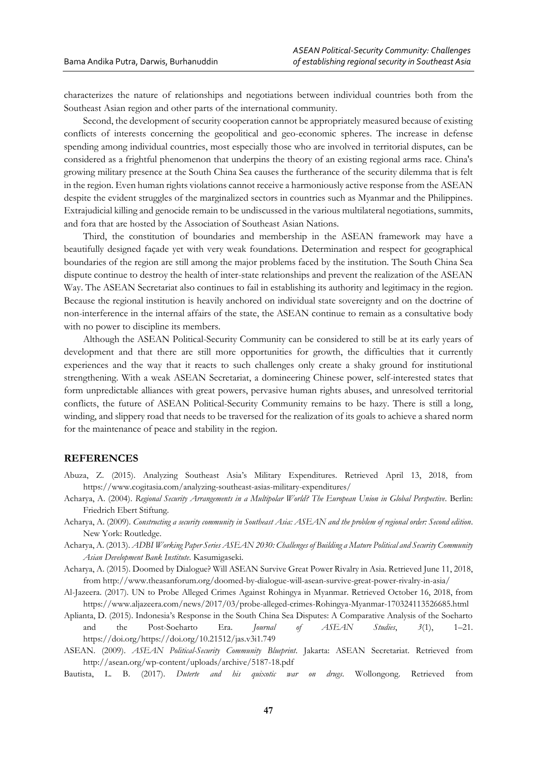characterizes the nature of relationships and negotiations between individual countries both from the Southeast Asian region and other parts of the international community.

Second, the development of security cooperation cannot be appropriately measured because of existing conflicts of interests concerning the geopolitical and geo-economic spheres. The increase in defense spending among individual countries, most especially those who are involved in territorial disputes, can be considered as a frightful phenomenon that underpins the theory of an existing regional arms race. China's growing military presence at the South China Sea causes the furtherance of the security dilemma that is felt in the region. Even human rights violations cannot receive a harmoniously active response from the ASEAN despite the evident struggles of the marginalized sectors in countries such as Myanmar and the Philippines. Extrajudicial killing and genocide remain to be undiscussed in the various multilateral negotiations, summits, and fora that are hosted by the Association of Southeast Asian Nations.

Third, the constitution of boundaries and membership in the ASEAN framework may have a beautifully designed façade yet with very weak foundations. Determination and respect for geographical boundaries of the region are still among the major problems faced by the institution. The South China Sea dispute continue to destroy the health of inter-state relationships and prevent the realization of the ASEAN Way. The ASEAN Secretariat also continues to fail in establishing its authority and legitimacy in the region. Because the regional institution is heavily anchored on individual state sovereignty and on the doctrine of non-interference in the internal affairs of the state, the ASEAN continue to remain as a consultative body with no power to discipline its members.

Although the ASEAN Political-Security Community can be considered to still be at its early years of development and that there are still more opportunities for growth, the difficulties that it currently experiences and the way that it reacts to such challenges only create a shaky ground for institutional strengthening. With a weak ASEAN Secretariat, a domineering Chinese power, self-interested states that form unpredictable alliances with great powers, pervasive human rights abuses, and unresolved territorial conflicts, the future of ASEAN Political-Security Community remains to be hazy. There is still a long, winding, and slippery road that needs to be traversed for the realization of its goals to achieve a shared norm for the maintenance of peace and stability in the region.

## **REFERENCES**

- Abuza, Z. (2015). Analyzing Southeast Asia's Military Expenditures. Retrieved April 13, 2018, from https://www.cogitasia.com/analyzing-southeast-asias-military-expenditures/
- Acharya, A. (2004). *Regional Security Arrangements in a Multipolar World? The European Union in Global Perspective.* Berlin: Friedrich Ebert Stiftung.
- Acharya, A. (2009). *Constructing a security community in Southeast Asia: ASEAN and the problem of regional order: Second edition*. New York: Routledge.
- Acharya, A. (2013). *ADBI Working Paper Series ASEAN 2030: Challenges of Building a Mature Political and Security Community Asian Development Bank Institute*. Kasumigaseki.
- Acharya, A. (2015). Doomed by Dialogue? Will ASEAN Survive Great Power Rivalry in Asia. Retrieved June 11, 2018, from http://www.theasanforum.org/doomed-by-dialogue-will-asean-survive-great-power-rivalry-in-asia/
- Al-Jazeera. (2017). UN to Probe Alleged Crimes Against Rohingya in Myanmar. Retrieved October 16, 2018, from https://www.aljazeera.com/news/2017/03/probe-alleged-crimes-Rohingya-Myanmar-170324113526685.html
- Aplianta, D. (2015). Indonesia's Response in the South China Sea Disputes: A Comparative Analysis of the Soeharto and the Post-Soeharto Era. *Journal of ASEAN Studies*, *3*(1), 1–21. https://doi.org/https://doi.org/10.21512/jas.v3i1.749
- ASEAN. (2009). *ASEAN Political-Security Community Blueprint*. Jakarta: ASEAN Secretariat. Retrieved from http://asean.org/wp-content/uploads/archive/5187-18.pdf
- Bautista, L. B. (2017). *Duterte and his quixotic war on drugs*. Wollongong. Retrieved from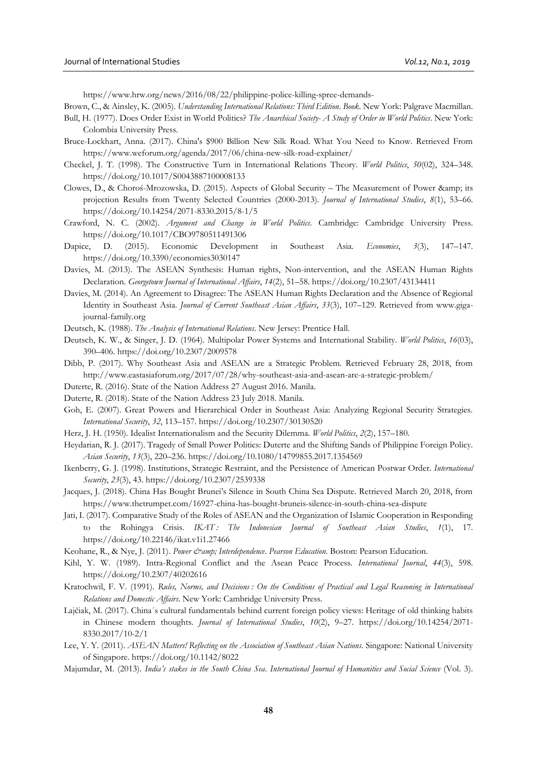https://www.hrw.org/news/2016/08/22/philippine-police-killing-spree-demands-

- Brown, C., & Ainsley, K. (2005). *Understanding International Relations: Third Edition*. *Book*. New York: Palgrave Macmillan.
- Bull, H. (1977). Does Order Exist in World Politics? *The Anarchical Society- A Study of Order in World Politics*. New York: Colombia University Press.
- Bruce-Lockhart, Anna. (2017). China's \$900 Billion New Silk Road. What You Need to Know. Retrieved From https://www.weforum.org/agenda/2017/06/china-new-silk-road-explainer/
- Checkel, J. T. (1998). The Constructive Turn in International Relations Theory. *World Politics*, *50*(02), 324–348. https://doi.org/10.1017/S0043887100008133
- Clowes, D., & Choroś-Mrozowska, D. (2015). Aspects of Global Security The Measurement of Power & amp; its projection Results from Twenty Selected Countries (2000-2013). *Journal of International Studies*, *8*(1), 53–66. https://doi.org/10.14254/2071-8330.2015/8-1/5
- Crawford, N. C. (2002). *Argument and Change in World Politics*. Cambridge: Cambridge University Press. https://doi.org/10.1017/CBO9780511491306
- Dapice, D. (2015). Economic Development in Southeast Asia. *Economies*, *3*(3), 147–147. https://doi.org/10.3390/economies3030147
- Davies, M. (2013). The ASEAN Synthesis: Human rights, Non-intervention, and the ASEAN Human Rights Declaration. *Georgetown Journal of International Affairs*, *14*(2), 51–58. https://doi.org/10.2307/43134411
- Davies, M. (2014). An Agreement to Disagree: The ASEAN Human Rights Declaration and the Absence of Regional Identity in Southeast Asia. *Journal of Current Southeast Asian Affairs*, *33*(3), 107–129. Retrieved from www.gigajournal-family.org
- Deutsch, K. (1988). *The Analysis of International Relations*. New Jersey: Prentice Hall.
- Deutsch, K. W., & Singer, J. D. (1964). Multipolar Power Systems and International Stability. *World Politics*, *16*(03), 390–406. https://doi.org/10.2307/2009578
- Dibb, P. (2017). Why Southeast Asia and ASEAN are a Strategic Problem. Retrieved February 28, 2018, from http://www.eastasiaforum.org/2017/07/28/why-southeast-asia-and-asean-are-a-strategic-problem/
- Duterte, R. (2016). State of the Nation Address 27 August 2016. Manila.
- Duterte, R. (2018). State of the Nation Address 23 July 2018. Manila.
- Goh, E. (2007). Great Powers and Hierarchical Order in Southeast Asia: Analyzing Regional Security Strategies. *International Security*, *32*, 113–157. https://doi.org/10.2307/30130520
- Herz, J. H. (1950). Idealist Internationalism and the Security Dilemma. *World Politics*, *2*(2), 157–180.
- Heydarian, R. J. (2017). Tragedy of Small Power Politics: Duterte and the Shifting Sands of Philippine Foreign Policy. *Asian Security*, *13*(3), 220–236. https://doi.org/10.1080/14799855.2017.1354569
- Ikenberry, G. J. (1998). Institutions, Strategic Restraint, and the Persistence of American Postwar Order. *International Security*, *23*(3), 43. https://doi.org/10.2307/2539338
- Jacques, J. (2018). China Has Bought Brunei's Silence in South China Sea Dispute. Retrieved March 20, 2018, from https://www.thetrumpet.com/16927-china-has-bought-bruneis-silence-in-south-china-sea-dispute
- Jati, I. (2017). Comparative Study of the Roles of ASEAN and the Organization of Islamic Cooperation in Responding to the Rohingya Crisis. *IKAT : The Indonesian Journal of Southeast Asian Studies*, *1*(1), 17. https://doi.org/10.22146/ikat.v1i1.27466
- Keohane, R., & Nye, J. (2011). *Power & amp; Interdependence. Pearson Education*. Boston: Pearson Education.
- Kihl, Y. W. (1989). Intra-Regional Conflict and the Asean Peace Process. *International Journal*, *44*(3), 598. https://doi.org/10.2307/40202616
- Kratochwil, F. V. (1991). *Rules, Norms, and Decisions : On the Conditions of Practical and Legal Reasoning in International Relations and Domestic Affairs*. New York: Cambridge University Press.
- Lajčiak, M. (2017). China´s cultural fundamentals behind current foreign policy views: Heritage of old thinking habits in Chinese modern thoughts. *Journal of International Studies*, *10*(2), 9–27. https://doi.org/10.14254/2071- 8330.2017/10-2/1
- Lee, Y. Y. (2011). *ASEAN Matters! Reflecting on the Association of Southeast Asian Nations*. Singapore: National University of Singapore. https://doi.org/10.1142/8022
- Majumdar, M. (2013). *India's stakes in the South China Sea*. *International Journal of Humanities and Social Science* (Vol. 3).